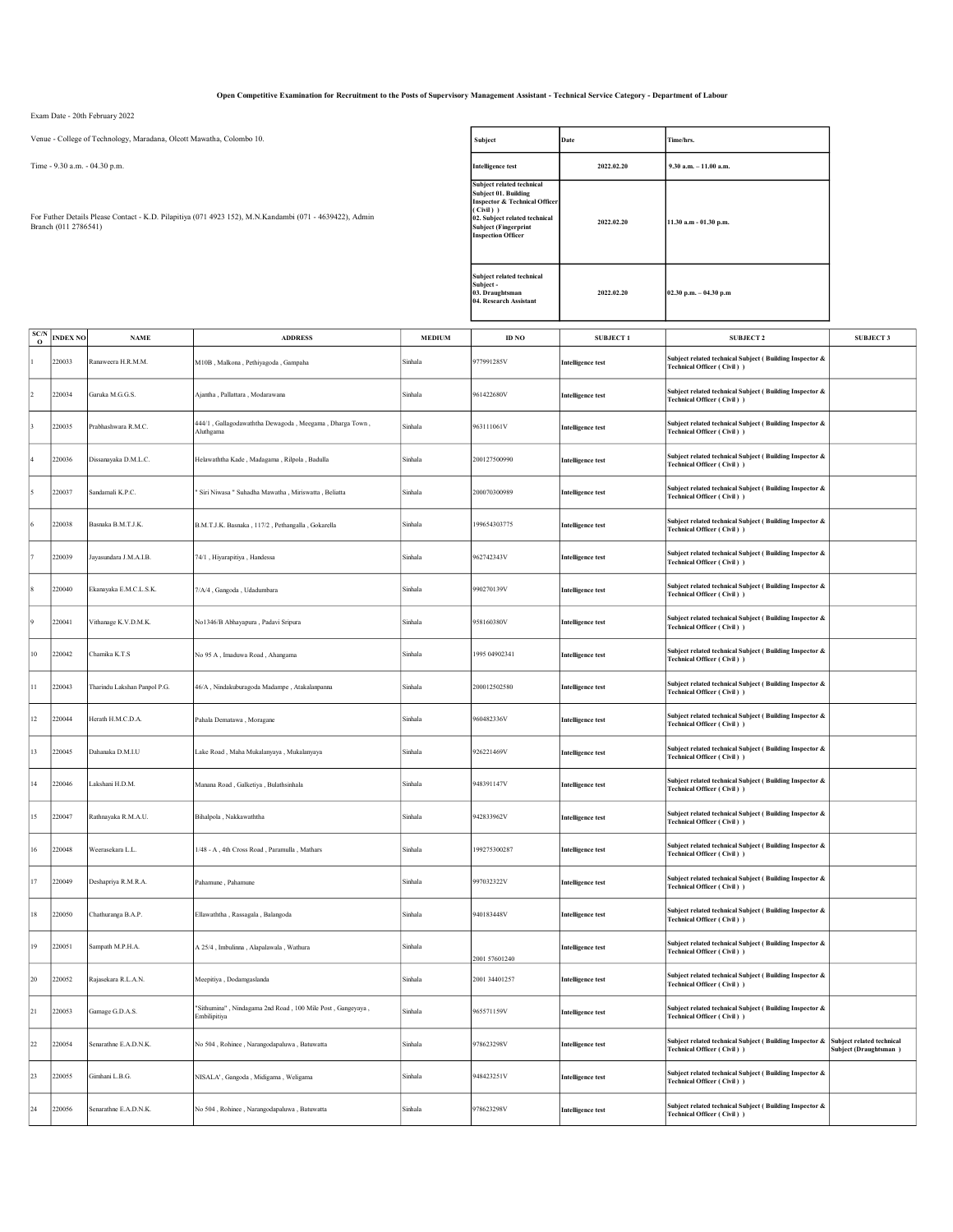Open Competitive Examination for Recruitment to the Posts of Supervisory Management Assistant - Technical Service Category - Department of Labour

Exam Date - 20th February 2022

Venue - College of Technology, Maradana, Olcott Mawatha, Colombo 10.

Time - 9.30 a.m. - 04.30 p.m.

For Futher Details Please Contact - K.D. Pilapitiya (071 4923 152), M.N.Kandambi (071 - 4639422), Admin Branch (011 2786541)

| Subject                                                                                                                                                                                                | Date       | Time/hrs.                 |
|--------------------------------------------------------------------------------------------------------------------------------------------------------------------------------------------------------|------------|---------------------------|
| <b>Intelligence test</b>                                                                                                                                                                               | 2022.02.20 | $9.30$ a.m. $-11.00$ a.m. |
| Subject related technical<br>Subject 01. Building<br><b>Inspector &amp; Technical Officer</b><br>(Civil))<br>02. Subject related technical<br><b>Subject (Fingerprint</b><br><b>Inspection Officer</b> | 2022.02.20 | 11.30 a.m - 01.30 p.m.    |
| Subject related technical<br>Subject -<br>03. Draughtsman<br>04. Research Assistant                                                                                                                    | 2022.02.20 | $02.30$ p.m. $-04.30$ p.m |

| SC/N<br>$\mathbf{o}$ | <b>INDEX NO</b> | <b>NAME</b>                  | <b>ADDRESS</b>                                                             | <b>MEDIUM</b> | ID NO         | <b>SUBJECT1</b>          | <b>SUBJECT 2</b>                                                                        | <b>SUBJECT 3</b>                                   |
|----------------------|-----------------|------------------------------|----------------------------------------------------------------------------|---------------|---------------|--------------------------|-----------------------------------------------------------------------------------------|----------------------------------------------------|
|                      | 220033          | Ranaweera H.R.M.M.           | M10B, Malkona, Pethiyagoda, Gampaha                                        | Sinhala       | 977991285V    | <b>Intelligence test</b> | Subject related technical Subject (Building Inspector &<br>Technical Officer (Civil))   |                                                    |
|                      | 220034          | Garuka M.G.G.S               | Aiantha , Pallattara , Modarawana                                          | Sinhala       | 961422680V    | <b>Intelligence test</b> | Subject related technical Subject (Building Inspector &<br>Technical Officer (Civil))   |                                                    |
|                      | 220035          | Prabhashwara R.M.C.          | 444/1, Gallagodawaththa Dewagoda, Meegama, Dharga Town,<br>Aluthgama       | Sinhala       | 963111061V    | <b>Intelligence test</b> | Subject related technical Subject (Building Inspector &<br>Technical Officer (Civil))   |                                                    |
|                      | 220036          | Dissanayaka D.M.L.C.         | Helawaththa Kade, Madagama, Rilpola, Badulla                               | Sinhala       | 200127500990  | <b>Intelligence test</b> | Subject related technical Subject (Building Inspector &<br>Technical Officer (Civil))   |                                                    |
|                      | 220037          | Sandamali K.P.C              | Siri Niwasa " Suhadha Mawatha , Miriswatta , Beliatta                      | Sinhala       | 200070300989  | Intelligence test        | Subject related technical Subject (Building Inspector &<br>Technical Officer (Civil))   |                                                    |
|                      | 220038          | Basnaka B.M.T.J.K.           | B.M.T.J.K. Basnaka, 117/2, Pethangalla, Gokarella                          | Sinhala       | 199654303775  | <b>Intelligence test</b> | Subject related technical Subject (Building Inspector &<br>Technical Officer (Civil))   |                                                    |
|                      | 220039          | Jayasundara J.M.A.I.B.       | 74/1, Hiyarapitiya, Handessa                                               | Sinhala       | 962742343V    | Intelligence test        | Subject related technical Subject (Building Inspector &<br>Technical Officer (Civil))   |                                                    |
|                      | 220040          | Ekanayaka E.M.C.L.S.K.       | 7/A/4, Gangoda, Udadumbara                                                 | Sinhala       | 990270139V    | <b>Intelligence test</b> | Subject related technical Subject (Building Inspector &<br>Technical Officer (Civil))   |                                                    |
|                      | 220041          | Vithanage K.V.D.M.K.         | No1346/B Abhayapura , Padavi Sripura                                       | Sinhala       | 958160380V    | Intelligence test        | Subject related technical Subject (Building Inspector &<br>Technical Officer (Civil))   |                                                    |
| $10\,$               | 220042          | Chamika K.T.S                | No 95 A, Imaduwa Road, Ahangama                                            | Sinhala       | 1995 04902341 | <b>Intelligence test</b> | Subject related technical Subject (Building Inspector &<br>Technical Officer (Civil))   |                                                    |
| 11                   | 220043          | Tharindu Lakshan Panpol P.G. | 46/A, Nindakuburagoda Madampe, Atakalanpanna                               | Sinhala       | 200012502580  | <b>Intelligence test</b> | Subject related technical Subject (Building Inspector &<br>Technical Officer (Civil))   |                                                    |
| $12 \,$              | 220044          | Herath H.M.C.D.A             | Pahala Dematawa, Moragano                                                  | Sinhala       | 960482336V    | <b>Intelligence test</b> | Subject related technical Subject (Building Inspector &<br>Technical Officer (Civil)    |                                                    |
| 13                   | 220045          | Dahanaka D.M.I.U             | Lake Road, Maha Mukalanyaya, Mukalanyaya                                   | Sinhala       | 926221469V    | <b>Intelligence test</b> | Subject related technical Subject (Building Inspector &<br>Technical Officer (Civil))   |                                                    |
| 14                   | 220046          | Lakshani H.D.M.              | Manana Road, Galketiya, Bulathsinhala                                      | Sinhala       | 948391147V    | <b>Intelligence test</b> | Subject related technical Subject ( Building Inspector &<br>Technical Officer (Civil)   |                                                    |
| 15                   | 220047          | Rathnayaka R.M.A.U.          | Bihalpola, Nakkawaththa                                                    | Sinhala       | 942833962V    | <b>Intelligence test</b> | Subject related technical Subject (Building Inspector &<br>Technical Officer (Civil) )  |                                                    |
| $16\,$               | 220048          | Veerasekara L.L.             | 1/48 - A, 4th Cross Road, Paramulla, Mathars                               | Sinhala       | 199275300287  | <b>Intelligence test</b> | Subject related technical Subject ( Building Inspector &<br>Technical Officer (Civil) ) |                                                    |
| 17                   | 220049          | Deshapriya R.M.R.A.          | Pahamune, Pahamune                                                         | Sinhala       | 997032322V    | <b>Intelligence test</b> | Subject related technical Subject (Building Inspector &<br>Technical Officer (Civil))   |                                                    |
| $18\,$               | 220050          | Chathuranga B.A.P.           | Ellawaththa, Rassagala, Balangoda                                          | Sinhala       | 940183448V    | <b>Intelligence test</b> | Subject related technical Subject ( Building Inspector &<br>Technical Officer (Civil) ) |                                                    |
| 19                   | 220051          | Sampath M.P.H.A.             | A 25/4, Imbulinna, Alapalawala, Wathura                                    | Sinhala       | 2001 57601240 | <b>Intelligence test</b> | Subject related technical Subject (Building Inspector &<br>Technical Officer (Civil))   |                                                    |
| 20                   | 220052          | Rajasekara R.L.A.N.          | Meepitiya, Dodamgaslanda                                                   | Sinhala       | 2001 34401257 | <b>Intelligence test</b> | Subject related technical Subject (Building Inspector &<br>Technical Officer (Civil))   |                                                    |
| 21                   | 220053          | Gamage G.D.A.S.              | 'Sithumina", Nindagama 2nd Road, 100 Mile Post, Gangeyaya,<br>Embilipitiya | Sinhala       | 965571159V    | <b>Intelligence test</b> | Subject related technical Subject (Building Inspector &<br>Technical Officer (Civil))   |                                                    |
| $22\,$               | 220054          | Senarathne E.A.D.N.K.        | No 504, Rohinee, Narangodapaluwa, Batuwatta                                | Sinhala       | 978623298V    | <b>Intelligence test</b> | Subject related technical Subject (Building Inspector &<br>Technical Officer (Civil))   | Subject related technical<br>Subject (Draughtsman) |
| 23                   | 220055          | Gimhani L.B.G.               | NISALA', Gangoda, Midigama, Weligama                                       | Sinhala       | 948423251V    | <b>Intelligence test</b> | Subject related technical Subject (Building Inspector &<br>Technical Officer (Civil))   |                                                    |
| 24                   | 220056          | Senarathne E.A.D.N.K.        | No 504, Rohinee, Narangodapaluwa, Batuwatta                                | Sinhala       | 978623298V    | <b>Intelligence test</b> | Subject related technical Subject (Building Inspector &<br>Technical Officer (Civil))   |                                                    |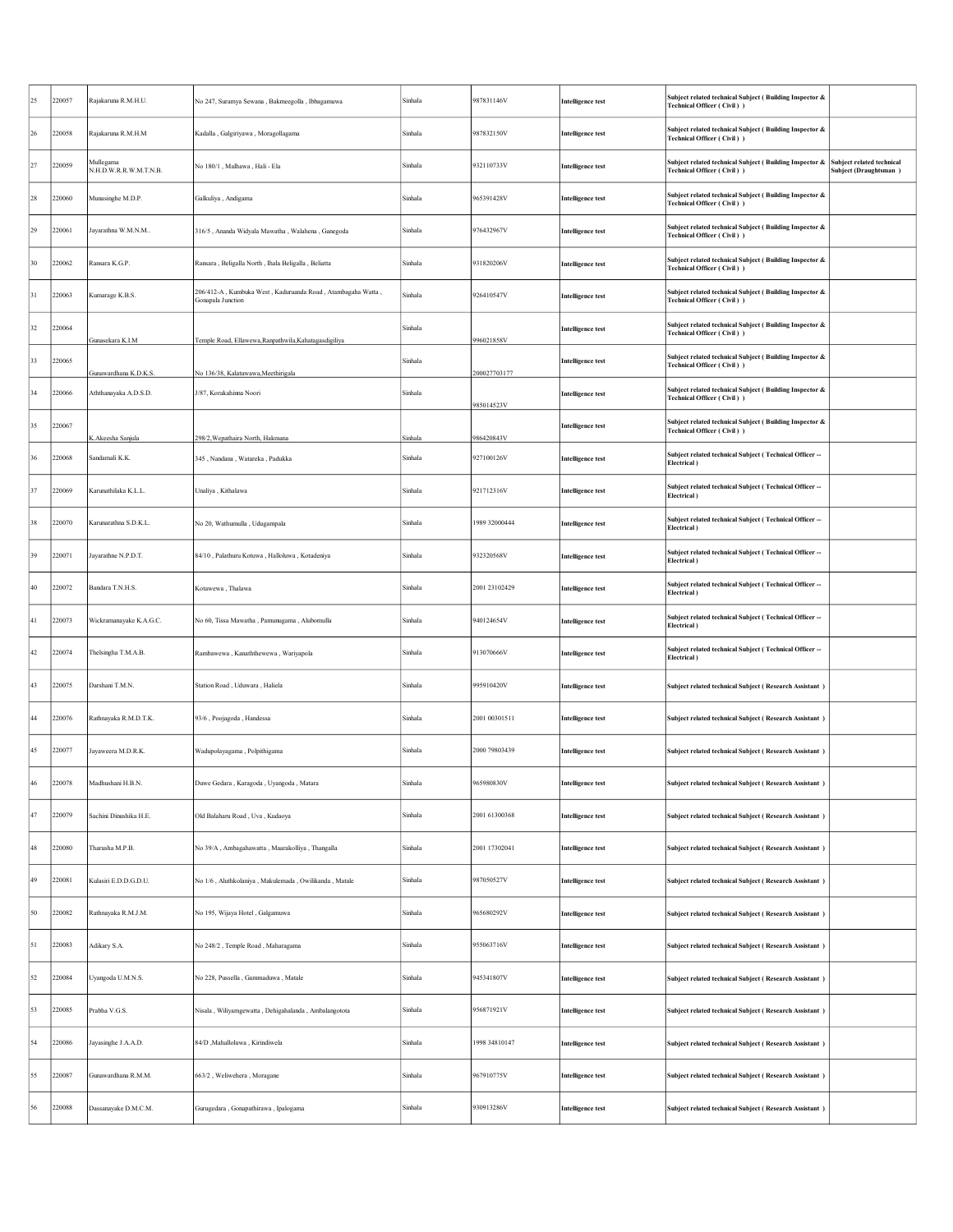| 25     | 220057 | Rajakaruna R.M.H.U.                 | No 247, Suramya Sewana , Bakmeegolla , Ibbagamuwa                                | Sinhala | 987831146V     | <b>Intelligence test</b> | Subject related technical Subject (Building Inspector &<br>Technical Officer (Civil)) |                                                    |
|--------|--------|-------------------------------------|----------------------------------------------------------------------------------|---------|----------------|--------------------------|---------------------------------------------------------------------------------------|----------------------------------------------------|
| 26     | 220058 | Rajakaruna R.M.H.M                  | Kadalla, Galgiriyawa, Moragollagama                                              | Sinhala | 987832150V     | <b>Intelligence test</b> | Subject related technical Subject (Building Inspector &<br>Technical Officer (Civil)) |                                                    |
| 27     | 220059 | Mullegama<br>N.H.D.W.R.R.W.M.T.N.B. | No 180/1, Malhawa, Hali - Ela                                                    | Sinhala | 932110733V     | <b>Intelligence test</b> | Subject related technical Subject (Building Inspector &<br>Technical Officer (Civil)) | Subject related technical<br>Subject (Draughtsman) |
| 28     | 220060 | Munasinghe M.D.P.                   | Galkuliya, Andigama                                                              | Sinhala | 965391428V     | <b>Intelligence test</b> | Subject related technical Subject (Building Inspector &<br>Technical Officer (Civil)) |                                                    |
| 29     | 220061 | Jayarathna W.M.N.M                  | 316/5, Ananda Widyala Mawatha, Walahena, Ganegoda                                | Sinhala | 976432967V     | <b>Intelligence test</b> | Subject related technical Subject (Building Inspector &<br>Technical Officer (Civil)) |                                                    |
| 30     | 220062 | Ransara K.G.P.                      | Ransara, Beligalla North, Ihala Beligalla, Beliatta                              | Sinhala | 931820206V     | <b>Intelligence test</b> | Subject related technical Subject (Building Inspector &<br>Technical Officer (Civil)) |                                                    |
| 31     | 220063 | Kumarage K.B.S.                     | 206/412-A, Kumbuka West, Kaduruanda Road, Atambagaha Watta,<br>Gonapala Junction | Sinhala | 926410547V     | <b>Intelligence test</b> | Subject related technical Subject (Building Inspector &<br>Technical Officer (Civil)) |                                                    |
| 32     | 220064 | Gunasekara K.I.M                    | Temple Road, Ellawewa, Ranpathwila, Kahatagas digiliya                           | Sinhala | 996021858V     | <b>Intelligence test</b> | Subject related technical Subject (Building Inspector &<br>Technical Officer (Civil)) |                                                    |
| 33     | 220065 | Gunawardhana K.D.K.S.               | No 136/38, Kalatuwawa, Meethirigala                                              | Sinhala | 200027703177   | <b>Intelligence test</b> | Subject related technical Subject (Building Inspector &<br>Technical Officer (Civil)) |                                                    |
| 34     | 220066 | Aththanayaka A.D.S.D.               | J/87, Korakahinna Noori                                                          | Sinhala | 985014523V     | <b>Intelligence test</b> | Subject related technical Subject (Building Inspector &<br>Technical Officer (Civil)) |                                                    |
| 35     | 220067 | K.Akeesha Sanjula                   | 298/2, Wepathaira North, Hakmana                                                 | Sinhala | 986420843V     | <b>Intelligence test</b> | Subject related technical Subject (Building Inspector &<br>Technical Officer (Civil)) |                                                    |
| 36     | 220068 | Sandamali K.K.                      | 345, Nandana, Watareka, Padukka                                                  | Sinhala | 927100126V     | <b>Intelligence test</b> | Subject related technical Subject (Technical Officer --<br>Electrical)                |                                                    |
| 37     | 220069 | Karunathilaka K.L.L.                | Unaliya, Kithalawa                                                               | Sinhala | 921712316V     | <b>Intelligence test</b> | Subject related technical Subject (Technical Officer --<br>Electrical)                |                                                    |
| 38     | 220070 | Karunarathna S.D.K.L.               | No 20, Wathumulla, Udugampala                                                    | Sinhala | 1989 32000444  | <b>Intelligence test</b> | Subject related technical Subject (Technical Officer --<br>Electrical)                |                                                    |
| 39     | 220071 | Jayarathne N.P.D.T.                 | 84/10, Palathuru Kotuwa, Halloluwa, Kotadeniya                                   | Sinhala | 932320568V     | <b>Intelligence test</b> | Subject related technical Subject (Technical Officer --<br>Electrical)                |                                                    |
| 40     | 220072 | Bandara T.N.H.S.                    | Kotawewa, Thalawa                                                                | Sinhala | 2001 23102429  | <b>Intelligence test</b> | Subject related technical Subject (Technical Officer --<br>Electrical)                |                                                    |
| 41     | 220073 | Wickramanayake K.A.G.C.             | No 60, Tissa Mawatha, Pamunugama, Alubomulla                                     | Sinhala | 940124654V     | <b>Intelligence test</b> | Subject related technical Subject (Technical Officer --<br>Electrical)                |                                                    |
| 42     | 220074 | Thelsingha T.M.A.B.                 | Rambawewa, Kanaththewewa, Wariyapola                                             | Sinhala | 913070666V     | <b>Intelligence test</b> | Subject related technical Subject (Technical Officer --<br>Electrical)                |                                                    |
| 43     | 220075 | Darshani T.M.N.                     | Station Road, Uduwara, Haliela                                                   | Sinhala | 995910420V     | <b>Intelligence test</b> | Subject related technical Subject (Research Assistant)                                |                                                    |
| 44     | 220076 | Rathnayaka R.M.D.T.K.               | 93/6, Poojagoda, Handessa                                                        | Sinhala | 2001 00301511  | <b>Intelligence test</b> | Subject related technical Subject (Research Assistant)                                |                                                    |
| 45     | 220077 | Jayaweera M.D.R.K.                  | Wadupolayagama, Polpithigama                                                     | Sinhala | 2000 79803439  | <b>Intelligence test</b> | Subject related technical Subject (Research Assistant)                                |                                                    |
|        | 220078 | Madhushani H.B.N.                   | Duwe Gedara , Karagoda , Uyangoda , Matara                                       | Sinhala | 965980830V     | ntemgence test           | ubject related technical Subject ( Research Assistant                                 |                                                    |
| 47     | 220079 | Sachini Dinushika H.E.              | Old Balaharu Road, Uva, Kudaoya                                                  | Sinhala | 2001 61300368  | <b>Intelligence test</b> | Subject related technical Subject (Research Assistant)                                |                                                    |
| $48\,$ | 220080 | Tharusha M.P.B.                     | No 39/A, Ambagahawatta, Maarakolliya, Thangalla                                  | Sinhala | 2001 17302041  | <b>Intelligence test</b> | Subject related technical Subject (Research Assistant)                                |                                                    |
| 49     | 220081 | Kulasiri E.D.D.G.D.U.               | No 1/6, Aluthkolaniya, Makulemada, Owilikanda, Matale                            | Sinhala | 987050527V     | <b>Intelligence test</b> | Subject related technical Subject (Research Assistant)                                |                                                    |
| 50     | 220082 | Rathnayaka R.M.J.M.                 | No 195, Wijaya Hotel, Galgamuwa                                                  | Sinhala | 965680292V     | <b>Intelligence test</b> | Subject related technical Subject (Research Assistant)                                |                                                    |
| 51     | 220083 | Adikary S.A.                        | No 248/2, Temple Road, Maharagama                                                | Sinhala | 955063716V     | <b>Intelligence test</b> | Subject related technical Subject (Research Assistant)                                |                                                    |
| 52     | 220084 | Uyangoda U.M.N.S.                   | No 228, Pussella, Gammaduwa, Matale                                              | Sinhala | 945341807V     | <b>Intelligence test</b> | Subject related technical Subject (Research Assistant)                                |                                                    |
| 53     | 220085 | Prabha V.G.S.                       | Nisala, Wiliyamgewatta, Dehigahalanda, Ambalangotota                             | Sinhala | 956871921V     | <b>Intelligence test</b> | Subject related technical Subject (Research Assistant)                                |                                                    |
| 54     | 220086 | Jayasinghe J.A.A.D.                 | 84/D , Mahalloluwa , Kirindiwela                                                 | Sinhala | 1998 348 10147 | <b>Intelligence test</b> | Subject related technical Subject (Research Assistant)                                |                                                    |
| 55     | 220087 | Gunawardhana R.M.M.                 | 663/2, Weliwehera, Moragane                                                      | Sinhala | 967910775V     | <b>Intelligence test</b> | Subject related technical Subject (Research Assistant)                                |                                                    |
| 56     | 220088 | Dassanayake D.M.C.M.                | Gurugedara, Gonapathirawa, Ipalogama                                             | Sinhala | 930913286V     | <b>Intelligence test</b> | Subject related technical Subject (Research Assistant)                                |                                                    |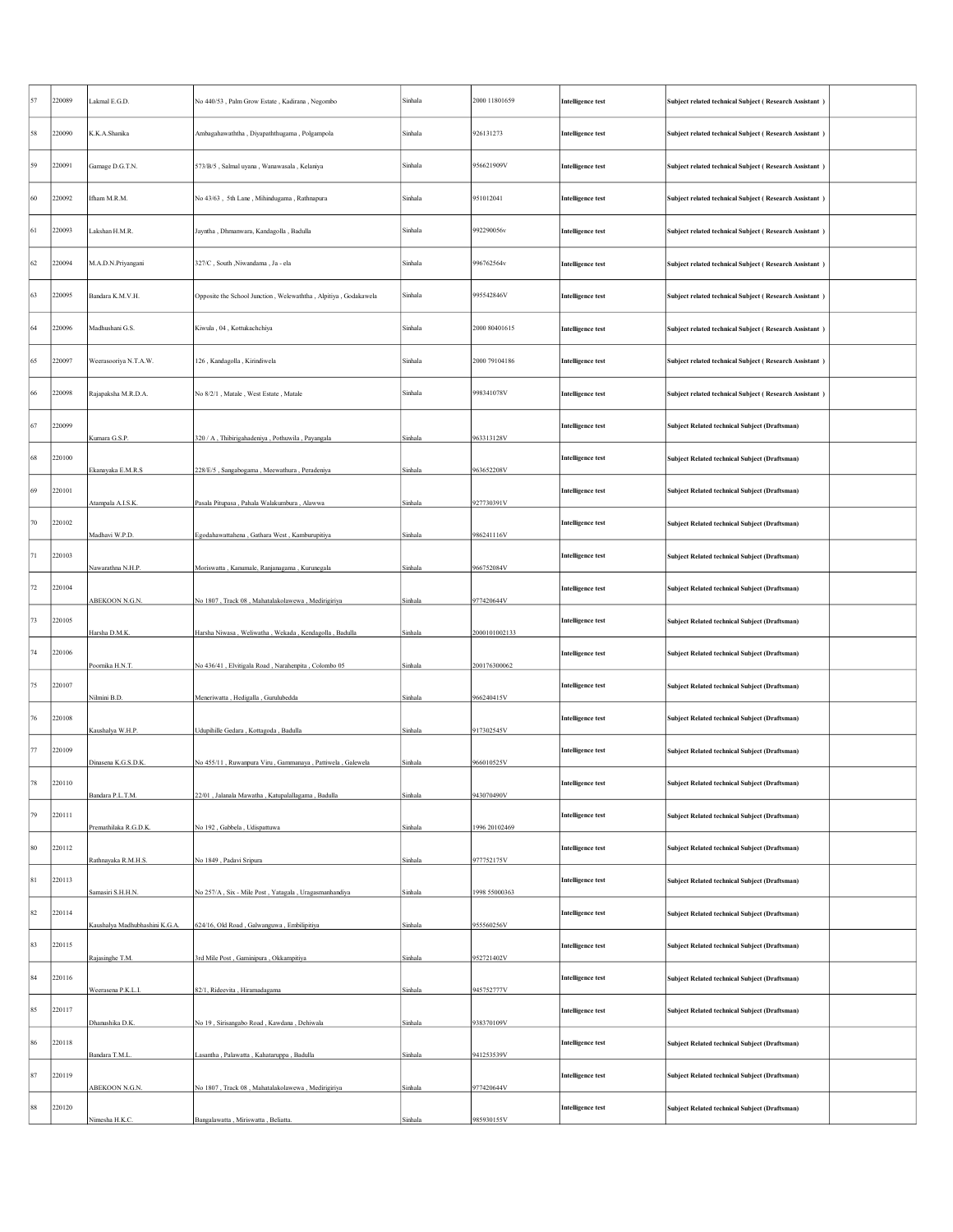| 57          | 220089 | Lakmal E.G.D.                  | No 440/53, Palm Grow Estate, Kadirana, Negombo                  | Sinhala | 2000 11801659 | <b>Intelligence test</b> | Subject related technical Subject (Research Assistant) |  |
|-------------|--------|--------------------------------|-----------------------------------------------------------------|---------|---------------|--------------------------|--------------------------------------------------------|--|
| 58          | 220090 | K.K.A.Shanika                  | Ambagahawaththa, Diyapaththugama, Polgampola                    | Sinhala | 926131273     | <b>Intelligence test</b> | Subject related technical Subject (Research Assistant) |  |
| 59          | 220091 | Gamage D.G.T.N.                | 573/B/5, Salmal uyana, Wanawasala, Kelaniya                     | Sinhala | 956621909V    | <b>Intelligence test</b> | Subject related technical Subject (Research Assistant) |  |
| 60          | 220092 | Ifham M.R.M.                   | No 43/63, 5th Lane, Mihindugama, Rathnapura                     | Sinhala | 951012041     | <b>Intelligence test</b> | Subject related technical Subject (Research Assistant) |  |
| 61          | 220093 | Lakshan H.M.R.                 | Jayntha, Dhmanwara, Kandagolla, Badulla                         | Sinhala | 992290056v    | <b>Intelligence test</b> | Subject related technical Subject (Research Assistant) |  |
| 62          | 220094 | M.A.D.N.Priyangani             | 327/C, South , Niwandama, Ja - ela                              | Sinhala | 996762564v    | <b>Intelligence test</b> | Subject related technical Subject (Research Assistant) |  |
| 63          | 220095 | Bandara K.M.V.H.               | Opposite the School Junction, Welewaththa, Alpitiya, Godakawela | Sinhala | 995542846V    | Intelligence test        | Subject related technical Subject (Research Assistant) |  |
| 64          | 220096 | Madhushani G.S.                | Kiwula, 04, Kottukachchiya                                      | Sinhala | 2000 80401615 | <b>Intelligence test</b> | Subject related technical Subject (Research Assistant) |  |
| 65          | 220097 | Weerasooriya N.T.A.W.          | 126, Kandagolla, Kirindiwela                                    | Sinhala | 2000 79104186 | <b>Intelligence test</b> | Subject related technical Subject (Research Assistant) |  |
| 66          | 220098 | Rajapaksha M.R.D.A.            | No 8/2/1, Matale, West Estate, Matale                           | Sinhala | 998341078V    | <b>Intelligence test</b> | Subject related technical Subject (Research Assistant) |  |
| 67          | 220099 | Kumara G.S.P.                  | 320 / A, Thibirigahadeniya, Pothuwila, Payangala                | Sinhala | 963313128V    | <b>Intelligence test</b> | <b>Subject Related technical Subject (Draftsman)</b>   |  |
| 68          | 220100 | Ekanayaka E.M.R.S              | 228/E/5, Sangabogama, Meewathura, Peradeniya                    | Sinhala | 963652208V    | <b>Intelligence test</b> | Subject Related technical Subject (Draftsman)          |  |
| 69          | 220101 | Atampala A.I.S.K.              | Pasala Pitupasa , Pahala Walakumbura , Alawwa                   | Sinhala | 927730391V    | <b>Intelligence test</b> | Subject Related technical Subject (Draftsman)          |  |
| 70          | 220102 | Madhavi W.P.D.                 | Egodahawattahena, Gathara West, Kamburupitiya                   | Sinhala | 986241116V    | <b>Intelligence test</b> | Subject Related technical Subject (Draftsman)          |  |
| 71          | 220103 | Nawarathna N.H.P.              | Moriswatta, Kanumale, Ranjanagama, Kurunegala                   | Sinhala | 966752084V    | <b>Intelligence test</b> | Subject Related technical Subject (Draftsman)          |  |
| $72\,$      | 220104 | ABEKOON N.G.N.                 | No 1807, Track 08, Mahatalakolawewa, Medirigiriya               | Sinhala | 977420644V    | <b>Intelligence test</b> | Subject Related technical Subject (Draftsman)          |  |
| 73          | 220105 | Harsha D.M.K.                  | Harsha Niwasa, Weliwatha, Wekada, Kendagolla, Badulla           | Sinhala | 2000101002133 | <b>Intelligence test</b> | Subject Related technical Subject (Draftsman)          |  |
| 74          | 220106 | Poornika H.N.T.                | No 436/41, Elvitigala Road, Narahenpita, Colombo 05             | Sinhala | 200176300062  | <b>Intelligence test</b> | Subject Related technical Subject (Draftsman)          |  |
| 75          | 220107 | Nilmini B.D.                   | Meneriwatta, Hedigalla, Gurulubedda                             | Sinhala | 966240415V    | <b>Intelligence test</b> | Subject Related technical Subject (Draftsman)          |  |
| 76          | 220108 | Kaushalya W.H.P.               | Udupihille Gedara, Kottagoda, Badulla                           | Sinhala | 917302545V    | <b>Intelligence test</b> | Subject Related technical Subject (Draftsman)          |  |
| 77          | 220109 | Dinasena K.G.S.D.K.            | No 455/11, Ruwanpura Viru, Gammanaya, Pattiwela, Galewela       | Sinhala | 966010525V    | <b>Intelligence test</b> | <b>Subject Related technical Subject (Draftsman)</b>   |  |
|             | 220110 | Bandara P.L.T.M.               | 22/01, Jalanala Mawatha, Katupalallagama, Badulla               | Sinhala | 943070490V    | ntelligence test         | ubject Keiated technical Subject (Draftsman)           |  |
| 79          | 220111 | Premathilaka R.G.D.K.          | No 192, Gabbela, Udispattuwa                                    | Sinhala | 1996 20102469 | <b>Intelligence test</b> | Subject Related technical Subject (Draftsman)          |  |
| $80\,$      | 220112 | Rathnayaka R.M.H.S.            | No 1849, Padavi Sripura                                         | Sinhala | 977752175V    | <b>Intelligence test</b> | Subject Related technical Subject (Draftsman)          |  |
| $8\sqrt{1}$ | 220113 | Samasiri S.H.H.N.              | No 257/A, Six - Mile Post, Yatagala, Uragasmanhandiya           | Sinhala | 1998 55000363 | <b>Intelligence test</b> | Subject Related technical Subject (Draftsman)          |  |
| $82\,$      | 220114 | Kaushalya Madhubhashini K.G.A. | 624/16, Old Road, Galwanguwa, Embilipitiya                      | Sinhala | 955560256V    | <b>Intelligence test</b> | Subject Related technical Subject (Draftsman)          |  |
| 83          | 220115 | Rajasinghe T.M.                | 3rd Mile Post, Gaminipura, Okkampitiya                          | Sinhala | 952721402V    | <b>Intelligence test</b> | Subject Related technical Subject (Draftsman)          |  |
| 84          | 220116 | Weerasena P.K.L.I.             | 82/1, Rideevita, Hiramadagama                                   | Sinhala | 945752777V    | <b>Intelligence test</b> | Subject Related technical Subject (Draftsman)          |  |
| 85          | 220117 | Dhanushika D.K.                | No 19, Sirisangabo Road, Kawdana, Dehiwala                      | Sinhala | 938370109V    | <b>Intelligence test</b> | Subject Related technical Subject (Draftsman)          |  |
| 86          | 220118 | Bandara T.M.L.                 | Lasantha, Palawatta, Kahataruppa, Badulla                       | Sinhala | 941253539V    | <b>Intelligence test</b> | Subject Related technical Subject (Draftsman)          |  |
| 87          | 220119 | ABEKOON N.G.N.                 | No 1807, Track 08, Mahatalakolawewa, Medirigiriya               | Sinhala | 977420644V    | <b>Intelligence test</b> | Subject Related technical Subject (Draftsman)          |  |
| 88          | 220120 | Nimesha H.K.C.                 | Bangalawatta, Miriswatta, Beliatta.                             | Sinhala | 985930155V    | <b>Intelligence test</b> | Subject Related technical Subject (Draftsman)          |  |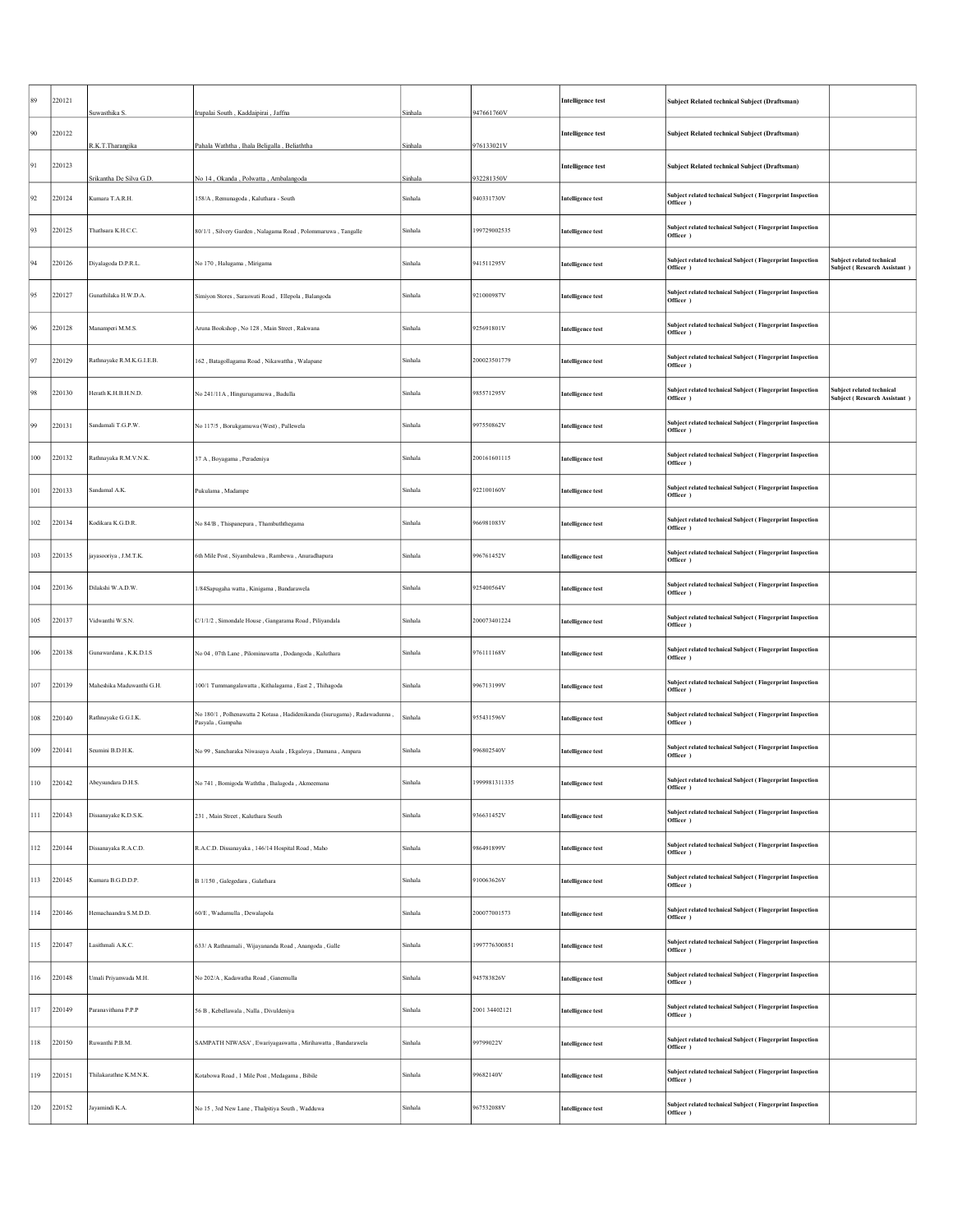| 89     | 220121 | Suwasthika S.             | Irupalai South, Kaddaipirai, Jaffna                                                          | Sinhala | 947661760V    | <b>Intelligence test</b> | Subject Related technical Subject (Draftsman)                           |                                                           |
|--------|--------|---------------------------|----------------------------------------------------------------------------------------------|---------|---------------|--------------------------|-------------------------------------------------------------------------|-----------------------------------------------------------|
| 90     | 220122 | R.K.T.Tharangika          | Pahala Waththa, Ihala Beligalla, Beliaththa                                                  | Sinhala | 976133021V    | <b>Intelligence test</b> | Subject Related technical Subject (Draftsman)                           |                                                           |
| 91     | 220123 | Srikantha De Silva G.D.   |                                                                                              | Sinhala | 932281350V    | <b>Intelligence test</b> | Subject Related technical Subject (Draftsman)                           |                                                           |
| 92     | 220124 | Kumara T.A.R.H.           | No 14, Okanda, Polwatta, Ambalangoda<br>158/A, Remunagoda, Kaluthara - South                 | Sinhala | 940331730V    | <b>Intelligence test</b> | Subject related technical Subject (Fingerprint Inspection<br>Officer )  |                                                           |
| 93     | 220125 | Thathsara K.H.C.C.        | 80/1/1, Silvery Garden, Nalagama Road, Polommaruwa, Tangalle                                 | Sinhala | 199729002535  | <b>Intelligence test</b> | Subject related technical Subject (Fingerprint Inspection<br>Officer )  |                                                           |
| 94     | 220126 | Diyalagoda D.P.R.L.       | No 170, Halugama, Mirigama                                                                   | Sinhala | 941511295V    | <b>Intelligence test</b> | Subject related technical Subject (Fingerprint Inspection<br>Officer )  | Subject related technical<br>Subject (Research Assistant) |
| 95     | 220127 | Gunathilaka H.W.D.A.      | Simiyon Stores, Saraswati Road, Ellepola, Balangoda                                          | Sinhala | 921000987V    | <b>Intelligence test</b> | Subject related technical Subject (Fingerprint Inspection<br>Officer )  |                                                           |
| 96     | 220128 | Manamperi M.M.S.          | Aruna Bookshop, No 128, Main Street, Rakwana                                                 | Sinhala | 25691801V     | <b>Intelligence test</b> | Subject related technical Subject (Fingerprint Inspection<br>Officer )  |                                                           |
| 97     | 220129 | Rathnayake R.M.K.G.I.E.B. | 162, Batagollagama Road, Nikawattha, Walapane                                                | Sinhala | 200023501779  | <b>Intelligence test</b> | Subject related technical Subject (Fingerprint Inspection<br>Officer )  |                                                           |
| 98     | 220130 | Herath K.H.B.H.N.D.       | No 241/11A, Hingurugamuwa, Badulla                                                           | Sinhala | 085571295V    | <b>Intelligence test</b> | Subject related technical Subject (Fingerprint Inspection<br>Officer )  | subject related technical<br>Subject (Research Assistant) |
| 99     | 220131 | Sandamali T.G.P.W.        | No 117/5, Borukgamuwa (West), Pallewela                                                      | Sinhala | 997550862V    | <b>Intelligence test</b> | Subject related technical Subject (Fingerprint Inspection<br>Officer )  |                                                           |
| 100    | 220132 | Rathnayaka R.M.V.N.K.     | 37 A, Boyagama, Peradeniya                                                                   | Sinhala | 200161601115  | <b>Intelligence test</b> | Subject related technical Subject (Fingerprint Inspection<br>Officer )  |                                                           |
| 101    | 220133 | Sandamal A.K.             | Pukulama, Madampe                                                                            | Sinhala | 922100160V    | <b>Intelligence test</b> | Subject related technical Subject (Fingerprint Inspection<br>Officer )  |                                                           |
| 102    | 220134 | Kodikara K.G.D.R.         | No 84/B, Thispanepura, Thambuththegama                                                       | Sinhala | 66981083V     | <b>Intelligence test</b> | Subject related technical Subject (Fingerprint Inspection<br>Officer )  |                                                           |
| 103    | 220135 | jayasooriya, J.M.T.K.     | 6th Mile Post, Siyambalewa, Rambewa, Anuradhapura                                            | Sinhala | 996761452V    | <b>Intelligence test</b> | Subject related technical Subject (Fingerprint Inspection<br>Officer )  |                                                           |
| 104    | 220136 | Dilakshi W.A.D.W.         | 1/84Sapugaha watta, Kinigama, Bandarawela                                                    | Sinhala | 925400564V    | <b>Intelligence test</b> | Subject related technical Subject (Fingerprint Inspection<br>Officer )  |                                                           |
| 105    | 220137 | Vidwanthi W.S.N.          | C/1/1/2, Simondale House, Gangarama Road, Piliyandala                                        | Sinhala | 200073401224  | <b>Intelligence test</b> | Subject related technical Subject (Fingerprint Inspection<br>Officer )  |                                                           |
| 106    | 220138 | Gunawardana, K.K.D.I.S    | No 04, 07th Lane, Pilominawatta, Dodangoda, Kaluthara                                        | Sinhala | 976111168V    | <b>Intelligence test</b> | Subject related technical Subject ( Fingerprint Inspection<br>Officer ) |                                                           |
| 107    | 220139 | Maheshika Maduwanthi G.H. | 100/1 Tummangalawatta, Kithalagama, East 2, Thihagoda                                        | Sinhala | 996713199V    | <b>Intelligence test</b> | Subject related technical Subject (Fingerprint Inspection<br>Officer )  |                                                           |
| 108    | 220140 | Rathnayake G.G.I.K.       | No 180/1, Polhenawatta 2 Kotasa, Hadidenikanda (Isurugama), Radawadunna,<br>Pasyala, Gampaha | Sinhala | 955431596V    | <b>Intelligence test</b> | Subject related technical Subject (Fingerprint Inspection<br>Officer )  |                                                           |
| 109    | 220141 | Seumini B.D.H.K.          | No 99, Sancharaka Niwasaya Asala, Ekgaloya, Damana, Ampara                                   | Sinhala | 996802540V    | <b>Intelligence test</b> | Subject related technical Subject (Fingerprint Inspection<br>Officer )  |                                                           |
| $10 -$ | 220142 | Abevsundara D H S         | No 741, Bomigoda Waththa, Ihalagoda, Al                                                      | Sinhala | 999981311335  | emgence test             | Subject related technical Subject (Fingerprint Inspection<br>Officer )  |                                                           |
| 111    | 220143 | Dissanayake K.D.S.K.      | 231, Main Street, Kaluthara South                                                            | Sinhala | 936631452V    | <b>Intelligence test</b> | Subject related technical Subject (Fingerprint Inspection<br>Officer )  |                                                           |
| 112    | 220144 | Dissanayaka R.A.C.D.      | R.A.C.D. Dissanayaka, 146/14 Hospital Road, Maho                                             | Sinhala | 986491899V    | <b>Intelligence test</b> | Subject related technical Subject (Fingerprint Inspection<br>Officer )  |                                                           |
| 113    | 220145 | Kumara B.G.D.D.P.         | B 1/150, Galegedara, Galathara                                                               | Sinhala | 910063626V    | <b>Intelligence test</b> | Subject related technical Subject (Fingerprint Inspection<br>Officer )  |                                                           |
| 114    | 220146 | Hemachaandra S.M.D.D.     | 60/E, Wadumulla, Dewalapola                                                                  | Sinhala | 200077001573  | <b>Intelligence test</b> | Subject related technical Subject ( Fingerprint Inspection<br>Officer ) |                                                           |
| 115    | 220147 | Lasithmali A.K.C.         | 633/ A Rathnamali, Wijayananda Road, Anangoda, Galle                                         | Sinhala | 1997776300851 | <b>Intelligence test</b> | Subject related technical Subject (Fingerprint Inspection<br>Officer )  |                                                           |
| 116    | 220148 | Umali Priyanwada M.H.     | No 202/A, Kadawatha Road, Ganemulla                                                          | Sinhala | 945783826V    | <b>Intelligence test</b> | Subject related technical Subject (Fingerprint Inspection<br>Officer )  |                                                           |
| 117    | 220149 | Paranavithana P.P.P       | 56 B, Kebellawala, Nalla, Divuldeniya                                                        | Sinhala | 2001 34402121 | <b>Intelligence test</b> | Subject related technical Subject ( Fingerprint Inspection<br>Officer ) |                                                           |
| 118    | 220150 | Ruwanthi P.B.M.           | SAMPATH NIWASA', Ewariyagaswatta, Mirihawatta, Bandarawela                                   | Sinhala | 09799022V     | <b>Intelligence test</b> | Subject related technical Subject ( Fingerprint Inspection<br>Officer ) |                                                           |
| 119    | 220151 | Thilakarathne K.M.N.K.    | Kotabowa Road, 1 Mile Post, Medagama, Bibile                                                 | Sinhala | 99682140V     | <b>Intelligence test</b> | Subject related technical Subject (Fingerprint Inspection<br>Officer )  |                                                           |
| 120    | 220152 | Jayamindi K.A.            | No 15, 3rd New Lane, Thalpitiya South, Wadduwa                                               | Sinhala | 067532088V    | <b>Intelligence test</b> | Subject related technical Subject (Fingerprint Inspection<br>Officer )  |                                                           |